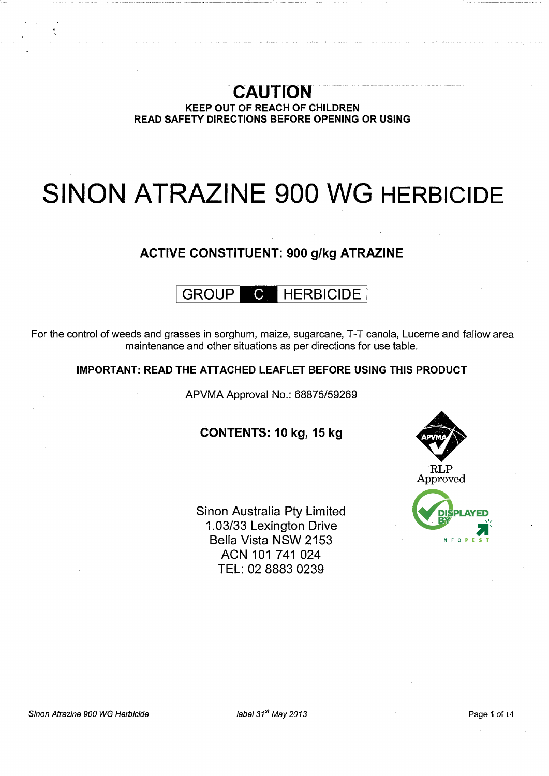# CAUTION KEEP OUT OF REACH OF CHILDREN READ SAFETY DIRECTIONS BEFORE OPENING OR USING

# SINON ATRAZINE 900 WG HERBICIDE

# ACTIVE CONSTITUENT: 900 g/kg ATRAZINE

# GROUP **C** HERBICIDE

For the control of weeds and grasses in sorghum, maize, sugarcane, T-T canola, Lucerne and fallow area maintenance and other situations as per directions for use table.

# IMPORTANT: READ THE ATTACHED LEAFLET BEFORE USING THIS PRODUCT

APVMA Approval No.: 68875/59269

# CONTENTS: 10 kg, 15 kg

Sinon Australia Pty Limited 1.03/33 Lexington Drive Bella Vista NSW 2153 ACN 101 741 024 TEL: 02 8883 0239





Sinon Atrazine 900 WG Herbicide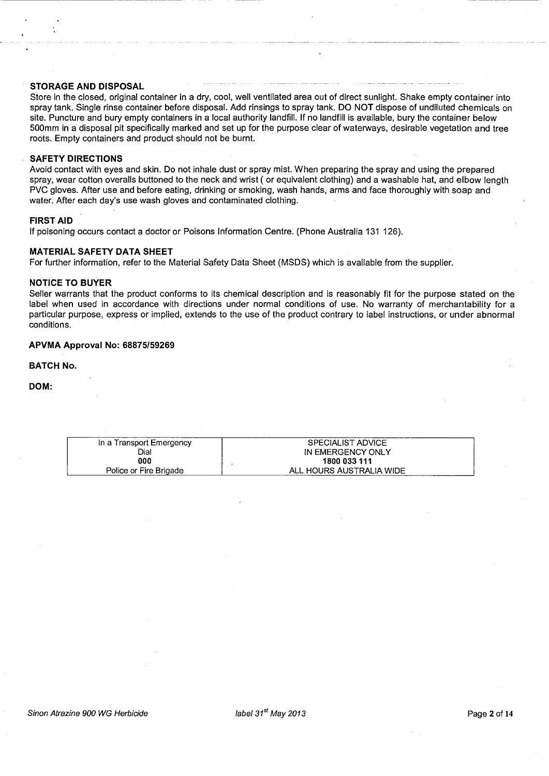# STORAGE AND DISPOSAL

Store in the closed, original container in a dry, cool, well ventilated area out of direct sunlight. Shake empty container into spray tank. Single rinse container before disposal. Add rinsings to spray tank. DO NOT dispose of undiluted chemicals on site. Puncture and bury empty containers in a local authority landfill. If no landfill is available, bury the container below 500mm in a disposal pit specifically marked and set up for the purpose clear of waterways, desirable vegetation and tree roots. Empty containers and product should not be burnt.

------------------ --- -- ------------ ---

#### SAFETY DIRECTIONS

Avoid contact with eyes and skin. Do not inhale dust or spray mist. When preparing the spray and using the prepared spray, wear cotton overalls buttoned to the neck and wrist ( or equivalent clothing) and a washable hat, and elbow length PVC gloves. After use and before eating, drinking or smoking, wash hands, arms and face thoroughly with soap and water. After each day's use wash gloves and contaminated clothing.

# FIRST AID

If poisoning occurs contact a doctor or Poisons Information Centre. (Phone Australia 131 126).

#### MATERIAL SAFETY DATA SHEET

For further information, refer to the Material Safety Data Sheet (MSDS) which is available from the supplier.

#### NOTICE TO BUYER

Seller warrants that the product conforms to its chemical description and is reasonably fit for the purpose stated on the label when used in accordance with directions under normal conditions of use. No warranty of merchantability for a particular purpose, express or implied, extends to the use of the product contrary to label instructions, or under abnormal conditions.

## APVMA Approval No: 68875/59269

#### BATCH No.

DOM:

| In a Transport Emergency | <b>SPECIALIST ADVICE</b> |
|--------------------------|--------------------------|
|                          |                          |
| Dial                     | IN EMERGENCY ONLY        |
|                          |                          |
| 000                      | 1800 033 111             |
|                          |                          |
| Police or Fire Brigade   | ALL HOURS AUSTRALIA WIDE |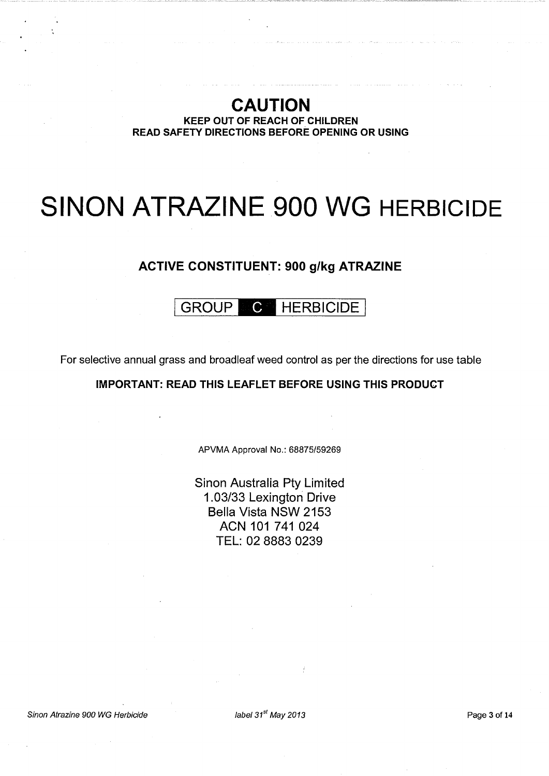# CAUTION KEEP OUT OF REACH OF CHILDREN READ SAFETY DIRECTIONS BEFORE OPENING OR USING

# SINON ATRAZINE 900 WG HERBICIDE

# ACTIVE CONSTITUENT: 900 g/kg ATRAZINE

# GROUP C HERBICIDE

For selective annual grass and broadleaf weed control as per the directions for use table

# IMPORTANT: READ THIS LEAFLET BEFORE USING THIS PRODUCT

APVMA Approval No.: 68875/59269

Sinon Australia Pty Limited 1.03/33 Lexington Drive Bella Vista NSW 2153 ACN 101 741 024 TEL: 02 8883 0239

Sinon Atrazine 900 WG Herbicide

 $\mu$ abel 31<sup>st</sup> May 2013 **Page 3 of 14**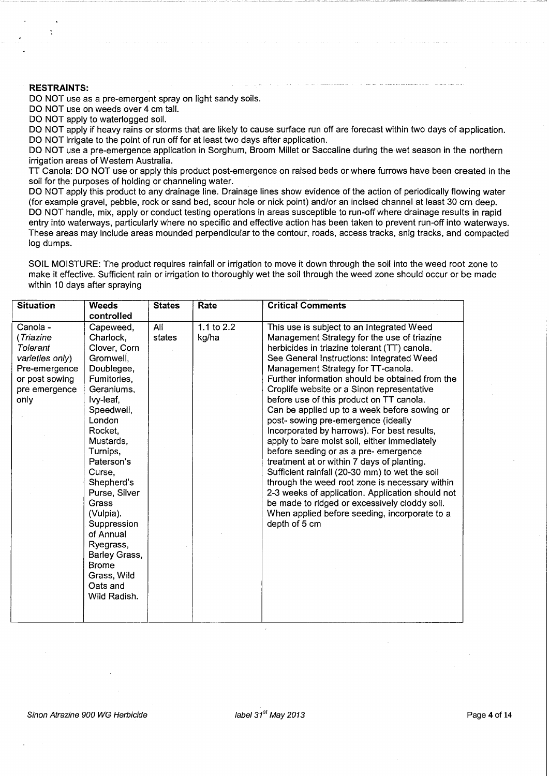## RESTRAINTS:

DO NOT use as a pre-emergent spray on light sandy soils.

DO NOT use on weeds over 4 cm tall.

DO NOT apply to waterlogged soil.

DO NOT apply if heavy rains or storms that are likely to cause surface run off are forecast within two days of application. DO NOT irrigate to the point of run off for at least two days after application.

DO NOT use a pre-emergence application in Sorghum, Broom Millet or Saccaline during the wet season in the northern irrigation areas of Western Australia.

n Canola: DO NOT use or apply this product post-emergence on raised beds or where furrows have been created in the soil for the purposes of holding or channeling water.

DO NOT apply this product to any drainage line. Drainage lines show evidence of the action of periodically flowing water (for example gravel, pebble, rock or sand bed, scour hole or nick point) and/or an incised channel at least 30 em deep. DO NOT handle, mix, apply or conduct testing operations in areas susceptible to run-off where drainage results in rapid entry into waterways, particularly where no specific and effective action has been taken to prevent run-off into waterways. These areas may include areas mounded perpendicular to the contour, roads, access tracks, snig tracks, and compacted log dumps.

SOIL MOISTURE: The product requires rainfall or irrigation to move it down through the soil into the weed root zone to make it effective. Sufficient rain or irrigation to thoroughly wet the soil through the weed zone should occur or be made within 10 days after spraying

| <b>Situation</b>                                                                                                 | <b>Weeds</b>                                                                                                                                                                                                                                                                                                                                                              | <b>States</b> | Rate                | <b>Critical Comments</b>                                                                                                                                                                                                                                                                                                                                                                                                                                                                                                                                                                                                                                                                                                                                                                                                                                                                                                         |
|------------------------------------------------------------------------------------------------------------------|---------------------------------------------------------------------------------------------------------------------------------------------------------------------------------------------------------------------------------------------------------------------------------------------------------------------------------------------------------------------------|---------------|---------------------|----------------------------------------------------------------------------------------------------------------------------------------------------------------------------------------------------------------------------------------------------------------------------------------------------------------------------------------------------------------------------------------------------------------------------------------------------------------------------------------------------------------------------------------------------------------------------------------------------------------------------------------------------------------------------------------------------------------------------------------------------------------------------------------------------------------------------------------------------------------------------------------------------------------------------------|
|                                                                                                                  | controlled                                                                                                                                                                                                                                                                                                                                                                |               |                     |                                                                                                                                                                                                                                                                                                                                                                                                                                                                                                                                                                                                                                                                                                                                                                                                                                                                                                                                  |
| Canola -<br>(Triazine<br>Tolerant<br>varieties only)<br>Pre-emergence<br>or post sowing<br>pre emergence<br>only | Capeweed,<br>Charlock,<br>Clover, Corn<br>Gromwell,<br>Doublegee,<br>Fumitories,<br>Geraniums,<br>Ivy-leaf,<br>Speedwell,<br>London<br>Rocket,<br>Mustards,<br>Turnips,<br>Paterson's<br>Curse,<br>Shepherd's<br>Purse, Silver<br>Grass<br>(Vulpia).<br>Suppression<br>of Annual<br>Ryegrass,<br>Barley Grass,<br><b>Brome</b><br>Grass, Wild<br>Oats and<br>Wild Radish. | All<br>states | 1.1 to 2.2<br>kg/ha | This use is subject to an Integrated Weed<br>Management Strategy for the use of triazine<br>herbicides in triazine tolerant (TT) canola.<br>See General Instructions: Integrated Weed<br>Management Strategy for TT-canola.<br>Further information should be obtained from the<br>Croplife website or a Sinon representative<br>before use of this product on TT canola.<br>Can be applied up to a week before sowing or<br>post- sowing pre-emergence (ideally<br>Incorporated by harrows). For best results,<br>apply to bare moist soil, either immediately<br>before seeding or as a pre- emergence<br>treatment at or within 7 days of planting.<br>Sufficient rainfall (20-30 mm) to wet the soil<br>through the weed root zone is necessary within<br>2-3 weeks of application. Application should not<br>be made to ridged or excessively cloddy soil.<br>When applied before seeding, incorporate to a<br>depth of 5 cm |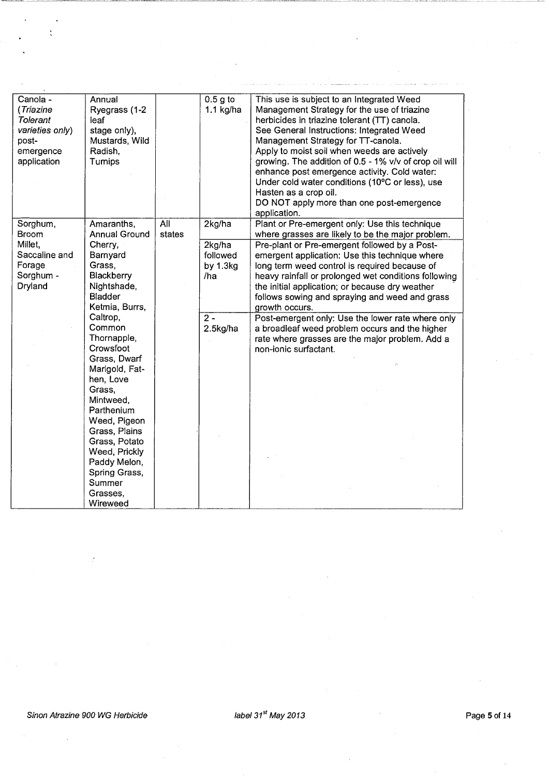| Canola -<br>(Triazine<br>Tolerant<br>varieties only)<br>post-<br>emergence<br>application | Annual<br>Ryegrass (1-2<br>leaf<br>stage only),<br>Mustards, Wild<br>Radish,<br>Turnips                                                                                                                                                                                                                                                                        |               | $0.5g$ to<br>1.1 $kg/ha$                                   | This use is subject to an Integrated Weed<br>Management Strategy for the use of triazine<br>herbicides in triazine tolerant (TT) canola.<br>See General Instructions: Integrated Weed<br>Management Strategy for TT-canola.<br>Apply to moist soil when weeds are actively<br>growing. The addition of 0.5 - 1% v/v of crop oil will<br>enhance post emergence activity. Cold water:<br>Under cold water conditions (10°C or less), use<br>Hasten as a crop oil.<br>DO NOT apply more than one post-emergence<br>application. |
|-------------------------------------------------------------------------------------------|----------------------------------------------------------------------------------------------------------------------------------------------------------------------------------------------------------------------------------------------------------------------------------------------------------------------------------------------------------------|---------------|------------------------------------------------------------|-------------------------------------------------------------------------------------------------------------------------------------------------------------------------------------------------------------------------------------------------------------------------------------------------------------------------------------------------------------------------------------------------------------------------------------------------------------------------------------------------------------------------------|
| Sorghum,<br><b>Broom</b>                                                                  | Amaranths,<br><b>Annual Ground</b>                                                                                                                                                                                                                                                                                                                             | All<br>states | 2kg/ha                                                     | Plant or Pre-emergent only: Use this technique<br>where grasses are likely to be the major problem.                                                                                                                                                                                                                                                                                                                                                                                                                           |
| Millet,<br>Saccaline and<br>Forage<br>Sorghum -<br>Dryland                                | Cherry,<br>Barnyard<br>Grass,<br>Blackberry<br>Nightshade,<br><b>Bladder</b><br>Ketmia, Burrs,<br>Caltrop,<br>Common<br>Thornapple,<br>Crowsfoot<br>Grass, Dwarf<br>Marigold, Fat-<br>hen, Love<br>Grass,<br>Mintweed,<br>Parthenium<br>Weed, Pigeon<br>Grass, Plains<br>Grass, Potato<br>Weed, Prickly<br>Paddy Melon,<br>Spring Grass,<br>Summer<br>Grasses, |               | 2kg/ha<br>followed<br>by 1.3kg<br>/ha<br>$2 -$<br>2.5kg/ha | Pre-plant or Pre-emergent followed by a Post-<br>emergent application: Use this technique where<br>long term weed control is required because of<br>heavy rainfall or prolonged wet conditions following<br>the initial application; or because dry weather<br>follows sowing and spraying and weed and grass<br>growth occurs.<br>Post-emergent only: Use the lower rate where only<br>a broadleaf weed problem occurs and the higher<br>rate where grasses are the major problem. Add a<br>non-ionic surfactant.            |
|                                                                                           | Wireweed                                                                                                                                                                                                                                                                                                                                                       |               |                                                            |                                                                                                                                                                                                                                                                                                                                                                                                                                                                                                                               |

 $\ddot{\cdot}$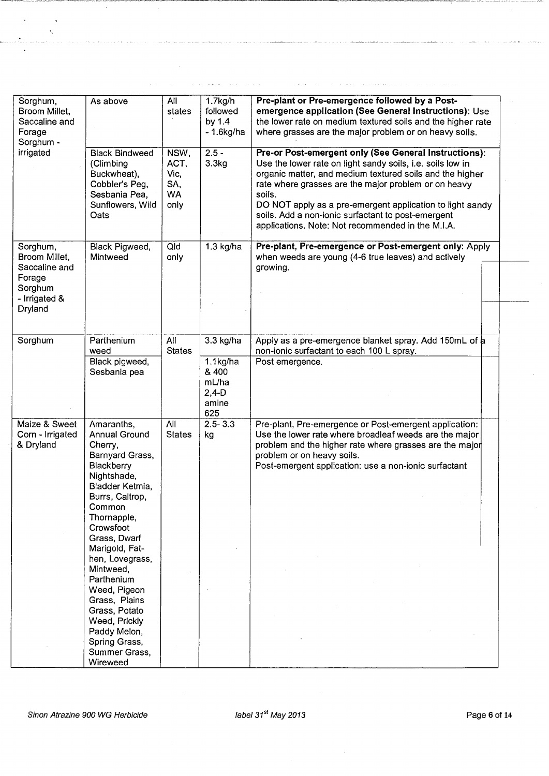| Sorghum,<br>Broom Millet,<br>Saccaline and<br>Forage<br>Sorghum -<br>irrigated              | As above<br><b>Black Bindweed</b><br>(Climbing<br>Buckwheat),<br>Cobbler's Peg,<br>Sesbania Pea,<br>Sunflowers, Wild<br>Oats                                                                                                                                                                                                                                                        | All<br>states<br>NSW,<br>ACT,<br>Vic,<br>SA,<br><b>WA</b><br>only | $1.7$ kg/h<br>followed<br>by 1.4<br>$-1.6$ kg/ha<br>$2.5 -$<br>3.3 <sub>kg</sub> | Pre-plant or Pre-emergence followed by a Post-<br>emergence application (See General Instructions): Use<br>the lower rate on medium textured soils and the higher rate<br>where grasses are the major problem or on heavy soils.<br>Pre-or Post-emergent only (See General Instructions):<br>Use the lower rate on light sandy soils, i.e. soils low in<br>organic matter, and medium textured soils and the higher<br>rate where grasses are the major problem or on heavy<br>soils.<br>DO NOT apply as a pre-emergent application to light sandy<br>soils. Add a non-ionic surfactant to post-emergent<br>applications. Note: Not recommended in the M.I.A. |
|---------------------------------------------------------------------------------------------|-------------------------------------------------------------------------------------------------------------------------------------------------------------------------------------------------------------------------------------------------------------------------------------------------------------------------------------------------------------------------------------|-------------------------------------------------------------------|----------------------------------------------------------------------------------|---------------------------------------------------------------------------------------------------------------------------------------------------------------------------------------------------------------------------------------------------------------------------------------------------------------------------------------------------------------------------------------------------------------------------------------------------------------------------------------------------------------------------------------------------------------------------------------------------------------------------------------------------------------|
| Sorghum,<br>Broom Millet,<br>Saccaline and<br>Forage<br>Sorghum<br>- Irrigated &<br>Dryland | Black Pigweed,<br>Mintweed                                                                                                                                                                                                                                                                                                                                                          | Qld<br>only                                                       | $1.3$ kg/ha                                                                      | Pre-plant, Pre-emergence or Post-emergent only: Apply<br>when weeds are young (4-6 true leaves) and actively<br>growing.                                                                                                                                                                                                                                                                                                                                                                                                                                                                                                                                      |
| Sorghum                                                                                     | Parthenium<br>weed<br>Black pigweed,<br>Sesbania pea                                                                                                                                                                                                                                                                                                                                | All<br><b>States</b>                                              | 3.3 kg/ha<br>$1.1$ kg/ha<br>& 400<br>mL/ha<br>$2,4-D$<br>amine<br>625            | Apply as a pre-emergence blanket spray. Add 150mL of a<br>non-ionic surfactant to each 100 L spray.<br>Post emergence.                                                                                                                                                                                                                                                                                                                                                                                                                                                                                                                                        |
| Maize & Sweet<br>Corn - Irrigated<br>& Dryland                                              | Amaranths,<br>Annual Ground<br>Cherry,<br>Barnyard Grass,<br>Blackberry<br>Nightshade,<br>Bladder Ketmia,<br>Burrs, Caltrop,<br>Common<br>Thornapple,<br>Crowsfoot<br>Grass, Dwarf<br>Marigold, Fat-<br>hen, Lovegrass,<br>Mintweed,<br>Parthenium<br>Weed, Pigeon<br>Grass, Plains<br>Grass, Potato<br>Weed, Prickly<br>Paddy Melon,<br>Spring Grass,<br>Summer Grass,<br>Wireweed | All<br><b>States</b>                                              | $2.5 - 3.3$<br>kg                                                                | Pre-plant, Pre-emergence or Post-emergent application:<br>Use the lower rate where broadleaf weeds are the major<br>problem and the higher rate where grasses are the major<br>problem or on heavy soils.<br>Post-emergent application: use a non-ionic surfactant                                                                                                                                                                                                                                                                                                                                                                                            |

i.

**Carl Corporation** 

المستحدث المتابعة المتحدة والمست

a di serang la

 $\ddot{\phantom{1}}$  $\bar{\zeta}$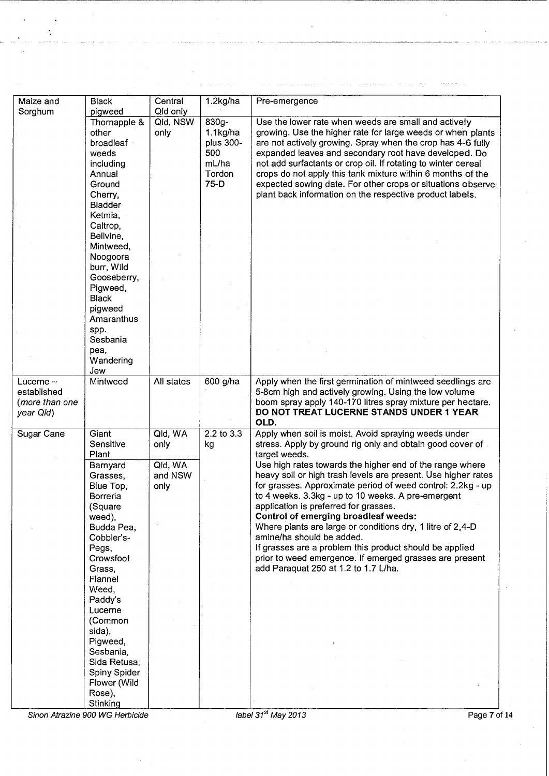| Maize and      | <b>Black</b>            | Central              | 1.2kg/ha   | Pre-emergence                                                                                                             |
|----------------|-------------------------|----------------------|------------|---------------------------------------------------------------------------------------------------------------------------|
| Sorghum        | pigweed<br>Thornapple & | Qld only<br>Qld, NSW | 830g-      | Use the lower rate when weeds are small and actively                                                                      |
|                | other                   | only                 | 1.1kg/ha   | growing. Use the higher rate for large weeds or when plants                                                               |
|                | broadleaf               |                      | plus 300-  | are not actively growing. Spray when the crop has 4-6 fully                                                               |
|                | weeds                   |                      | 500        | expanded leaves and secondary root have developed. Do                                                                     |
|                | including               |                      | mL/ha      | not add surfactants or crop oil. If rotating to winter cereal                                                             |
|                | Annual                  |                      | Tordon     | crops do not apply this tank mixture within 6 months of the                                                               |
|                | Ground                  |                      | $75-D$     | expected sowing date. For other crops or situations observe                                                               |
|                | Cherry,                 |                      |            | plant back information on the respective product labels.                                                                  |
|                | <b>Bladder</b>          |                      |            |                                                                                                                           |
|                | Ketmia,                 |                      |            |                                                                                                                           |
|                | Caltrop,                |                      |            |                                                                                                                           |
|                | Bellvine,               |                      |            |                                                                                                                           |
|                | Mintweed,               |                      |            |                                                                                                                           |
|                | Noogoora                |                      |            |                                                                                                                           |
|                | burr, Wild              |                      |            |                                                                                                                           |
|                | Gooseberry,             |                      |            |                                                                                                                           |
|                | Pigweed,                |                      |            |                                                                                                                           |
|                | <b>Black</b>            |                      |            |                                                                                                                           |
|                | pigweed                 |                      |            |                                                                                                                           |
|                | Amaranthus              |                      |            |                                                                                                                           |
|                | spp.                    |                      |            |                                                                                                                           |
|                | Sesbania                |                      |            |                                                                                                                           |
|                | pea,                    |                      |            |                                                                                                                           |
|                | Wandering               |                      |            |                                                                                                                           |
|                | Jew                     |                      |            |                                                                                                                           |
| Luceme $-$     | Mintweed                | All states           | 600 g/ha   | Apply when the first germination of mintweed seedlings are                                                                |
| established    |                         |                      |            | 5-8cm high and actively growing. Using the low volume                                                                     |
| (more than one |                         |                      |            | boom spray apply 140-170 litres spray mixture per hectare.                                                                |
| year Qld)      |                         |                      |            | DO NOT TREAT LUCERNE STANDS UNDER 1 YEAR                                                                                  |
|                |                         |                      |            | OLD.                                                                                                                      |
| Sugar Cane     | Giant                   | Qld, WA              | 2.2 to 3.3 | Apply when soil is moist. Avoid spraying weeds under                                                                      |
|                | Sensitive               | only                 | kg         | stress. Apply by ground rig only and obtain good cover of.                                                                |
|                | Plant                   |                      |            | target weeds.                                                                                                             |
|                | Barnyard                | Qld, WA              |            | Use high rates towards the higher end of the range where<br>heavy soil or high trash levels are present. Use higher rates |
|                | Grasses,                | and NSW              |            | for grasses. Approximate period of weed control: 2.2kg - up                                                               |
|                | Blue Top,<br>Borreria   | only                 |            | to 4 weeks. 3.3kg - up to 10 weeks. A pre-emergent                                                                        |
|                | (Square                 |                      |            | application is preferred for grasses.                                                                                     |
|                | weed),                  |                      |            | Control of emerging broadleaf weeds:                                                                                      |
|                | Budda Pea,              |                      |            | Where plants are large or conditions dry, 1 litre of 2,4-D                                                                |
|                | Cobbler's-              |                      |            | amine/ha should be added.                                                                                                 |
|                | Pegs,                   |                      |            | If grasses are a problem this product should be applied                                                                   |
|                | Crowsfoot               |                      |            | prior to weed emergence. If emerged grasses are present                                                                   |
|                | Grass,                  |                      |            | add Paraquat 250 at 1.2 to 1.7 L/ha.                                                                                      |
|                | Flannel                 |                      |            |                                                                                                                           |
|                | Weed.                   |                      |            |                                                                                                                           |
|                | Paddy's                 |                      |            |                                                                                                                           |
|                | Lucerne                 |                      |            |                                                                                                                           |
|                | (Common                 |                      |            |                                                                                                                           |
|                | sida),                  |                      |            |                                                                                                                           |
|                | Pigweed,                |                      |            |                                                                                                                           |
|                | Sesbania,               |                      |            |                                                                                                                           |
|                | Sida Retusa,            |                      |            |                                                                                                                           |
|                | Spiny Spider            |                      |            |                                                                                                                           |
|                | Flower (Wild            |                      |            |                                                                                                                           |
|                | Rose),                  |                      |            |                                                                                                                           |
|                | Stinking                |                      |            |                                                                                                                           |
|                |                         |                      |            | label $31st$ May 2013<br>Page 7 of 14                                                                                     |

 $\tau_{\rm in}$  and

المناصب والمستستست والمستعمل والمستحدث

÷.

 $\ddot{\phantom{0}}$  $\ddot{\cdot}$ 

 $\bar{z}$ 

 $\tau$  , associated as a  $\tau$ 

فللمحادث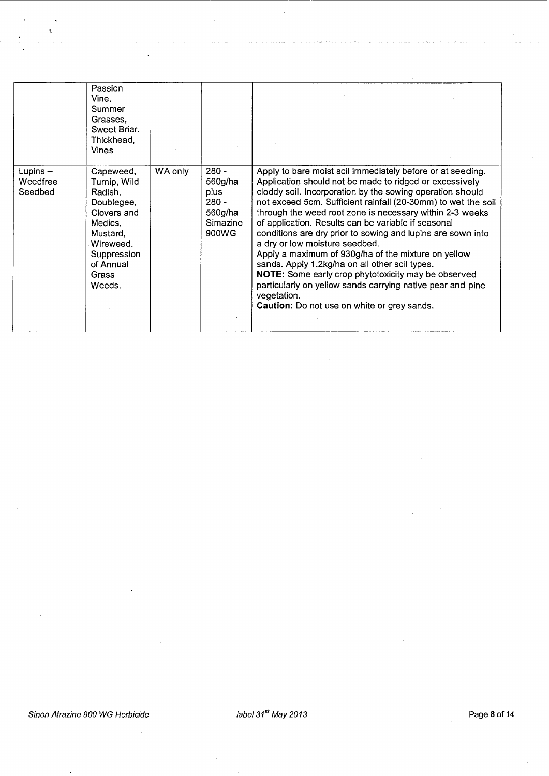|                                | Passion<br>Vine.<br>Summer<br>Grasses.<br>Sweet Briar.<br>Thickhead.<br><b>Vines</b>                                                                 |         |                                                                       |                                                                                                                                                                                                                                                                                                                                                                                                                                                                                                                                                                                                                                                                                                                                                                     |
|--------------------------------|------------------------------------------------------------------------------------------------------------------------------------------------------|---------|-----------------------------------------------------------------------|---------------------------------------------------------------------------------------------------------------------------------------------------------------------------------------------------------------------------------------------------------------------------------------------------------------------------------------------------------------------------------------------------------------------------------------------------------------------------------------------------------------------------------------------------------------------------------------------------------------------------------------------------------------------------------------------------------------------------------------------------------------------|
| Lupins-<br>Weedfree<br>Seedbed | Capeweed,<br>Turnip, Wild<br>Radish.<br>Doublegee,<br>Clovers and<br>Medics,<br>Mustard,<br>Wireweed.<br>Suppression<br>of Annual<br>Grass<br>Weeds. | WA only | $280 -$<br>560g/ha<br>plus<br>$280 -$<br>560g/ha<br>Simazine<br>900WG | Apply to bare moist soil immediately before or at seeding.<br>Application should not be made to ridged or excessively<br>cloddy soil. Incorporation by the sowing operation should<br>not exceed 5cm. Sufficient rainfall (20-30mm) to wet the soil<br>through the weed root zone is necessary within 2-3 weeks<br>of application. Results can be variable if seasonal<br>conditions are dry prior to sowing and lupins are sown into<br>a dry or low moisture seedbed.<br>Apply a maximum of 930g/ha of the mixture on yellow<br>sands. Apply 1.2kg/ha on all other soil types.<br>NOTE: Some early crop phytotoxicity may be observed<br>particularly on yellow sands carrying native pear and pine<br>vegetation.<br>Caution: Do not use on white or grey sands. |

Ń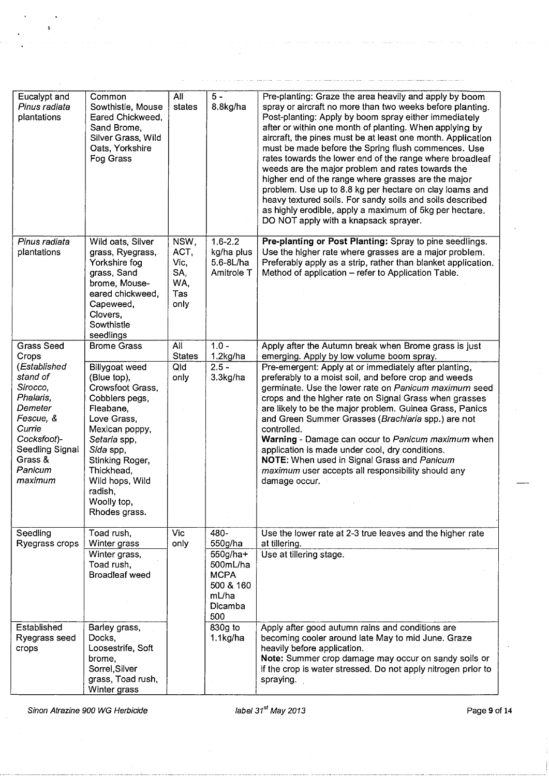| Eucalypt and<br>Pinus radiata<br>plantations                                                                                                           | Common<br>Sowthistle, Mouse<br>Eared Chickweed,<br>Sand Brome,<br>Silver Grass, Wild<br>Oats, Yorkshire<br>Fog Grass                                                                                                                          | All<br>states                                     | $5 -$<br>8.8kg/ha                                                                                | Pre-planting: Graze the area heavily and apply by boom<br>spray or aircraft no more than two weeks before planting.<br>Post-planting: Apply by boom spray either immediately<br>after or within one month of planting. When applying by<br>aircraft, the pines must be at least one month. Application<br>must be made before the Spring flush commences. Use<br>rates towards the lower end of the range where broadleaf<br>weeds are the major problem and rates towards the<br>higher end of the range where grasses are the major<br>problem. Use up to 8.8 kg per hectare on clay loams and<br>heavy textured soils. For sandy soils and soils described<br>as highly erodible, apply a maximum of 5kg per hectare.<br>DO NOT apply with a knapsack sprayer. |
|--------------------------------------------------------------------------------------------------------------------------------------------------------|-----------------------------------------------------------------------------------------------------------------------------------------------------------------------------------------------------------------------------------------------|---------------------------------------------------|--------------------------------------------------------------------------------------------------|-------------------------------------------------------------------------------------------------------------------------------------------------------------------------------------------------------------------------------------------------------------------------------------------------------------------------------------------------------------------------------------------------------------------------------------------------------------------------------------------------------------------------------------------------------------------------------------------------------------------------------------------------------------------------------------------------------------------------------------------------------------------|
| Pinus radiata<br>plantations                                                                                                                           | Wild oats, Silver<br>grass, Ryegrass,<br>Yorkshire fog<br>grass, Sand<br>brome, Mouse-<br>eared chickweed,<br>Capeweed,<br>Clovers,<br>Sowthistle<br>seedlings                                                                                | NSW,<br>ACT,<br>Vic,<br>SA,<br>WA,<br>Tas<br>only | $1.6 - 2.2$<br>kg/ha plus<br>5.6-8L/ha<br>Amitrole T                                             | Pre-planting or Post Planting: Spray to pine seedlings.<br>Use the higher rate where grasses are a major problem.<br>Preferably apply as a strip, rather than blanket application.<br>Method of application - refer to Application Table.                                                                                                                                                                                                                                                                                                                                                                                                                                                                                                                         |
| <b>Grass Seed</b><br>Crops                                                                                                                             | <b>Brome Grass</b>                                                                                                                                                                                                                            | All<br><b>States</b>                              | $1.0 -$<br>1.2kg/ha                                                                              | Apply after the Autumn break when Brome grass is just<br>emerging. Apply by low volume boom spray.                                                                                                                                                                                                                                                                                                                                                                                                                                                                                                                                                                                                                                                                |
| (Established<br>stand of<br>Sirocco,<br>Phalaris,<br>Demeter<br>Fescue, &<br>Currie<br>Cocksfoot)-<br>Seedling Signal<br>Grass &<br>Panicum<br>maximum | Billygoat weed<br>(Blue top),<br>Crowsfoot Grass,<br>Cobblers pegs,<br>Fleabane,<br>Love Grass,<br>Mexican poppy,<br>Setaria spp,<br>Sida spp,<br>Stinking Roger,<br>Thickhead,<br>Wild hops, Wild<br>radish,<br>Woolly top,<br>Rhodes grass. | Qld<br>only                                       | $2.5 -$<br>3.3kg/ha                                                                              | Pre-emergent: Apply at or immediately after planting,<br>preferably to a moist soil, and before crop and weeds<br>germinate. Use the lower rate on Panicum maximum seed<br>crops and the higher rate on Signal Grass when grasses<br>are likely to be the major problem. Guinea Grass, Panics<br>and Green Summer Grasses (Brachiaria spp.) are not<br>controlled.<br>Warning - Damage can occur to Panicum maximum when<br>application is made under cool, dry conditions.<br>NOTE: When used in Signal Grass and Panicum<br>maximum user accepts all responsibility should any<br>damage occur.                                                                                                                                                                 |
| Seedling<br>Ryegrass crops                                                                                                                             | Toad rush,<br>Winter grass<br>Winter grass,<br>Toad rush,<br>Broadleaf weed                                                                                                                                                                   | Vic<br>only                                       | 480-<br>550g/ha<br>$550g/ha+$<br>500mL/ha<br><b>MCPA</b><br>500 & 160<br>mL/ha<br>Dicamba<br>500 | Use the lower rate at 2-3 true leaves and the higher rate<br>at tillering.<br>Use at tillering stage.                                                                                                                                                                                                                                                                                                                                                                                                                                                                                                                                                                                                                                                             |
| Established<br>Ryegrass seed<br>crops                                                                                                                  | Barley grass,<br>Docks,<br>Loosestrife, Soft<br>brome,<br>Sorrel, Silver<br>grass, Toad rush,<br>Winter grass                                                                                                                                 |                                                   | 830g to<br>$1.1$ kg/ha                                                                           | Apply after good autumn rains and conditions are<br>becoming cooler around late May to mid June. Graze<br>heavily before application.<br>Note: Summer crop damage may occur on sandy soils or<br>if the crop is water stressed. Do not apply nitrogen prior to<br>spraying.                                                                                                                                                                                                                                                                                                                                                                                                                                                                                       |

Sinon Atrazine 900 WG Herbicide *in the state of the label* 31<sup>st</sup> May 2013 **Page 9 of 14** Page 9 of 14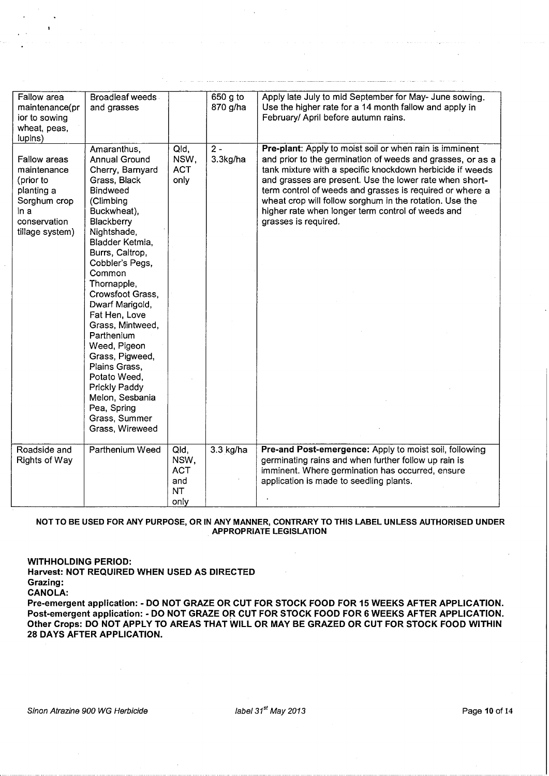| Fallow area<br>maintenance(pr<br>ior to sowing<br>wheat, peas,<br>lupins)                                         | <b>Broadleaf weeds</b><br>and grasses                                                                                                                                                                                                                                                                                                                                                                                                                                                             |                                                        | 650 g to<br>870 g/ha | Apply late July to mid September for May- June sowing.<br>Use the higher rate for a 14 month fallow and apply in<br>February/ April before autumn rains.                                                                                                                                                                                                                                                                                          |
|-------------------------------------------------------------------------------------------------------------------|---------------------------------------------------------------------------------------------------------------------------------------------------------------------------------------------------------------------------------------------------------------------------------------------------------------------------------------------------------------------------------------------------------------------------------------------------------------------------------------------------|--------------------------------------------------------|----------------------|---------------------------------------------------------------------------------------------------------------------------------------------------------------------------------------------------------------------------------------------------------------------------------------------------------------------------------------------------------------------------------------------------------------------------------------------------|
| Fallow areas<br>maintenance<br>(prior to<br>planting a<br>Sorghum crop<br>in a<br>conservation<br>tillage system) | Amaranthus,<br><b>Annual Ground</b><br>Cherry, Barnyard<br>Grass, Black<br><b>Bindweed</b><br>(Climbing<br>Buckwheat),<br>Blackberry<br>Nightshade,<br>Bladder Ketmia,<br>Burrs, Caltrop,<br>Cobbler's Pegs,<br>Common<br>Thornapple,<br>Crowsfoot Grass,<br>Dwarf Marigold,<br>Fat Hen, Love<br>Grass, Mintweed,<br>Parthenium<br>Weed, Pigeon<br>Grass, Pigweed,<br>Plains Grass,<br>Potato Weed,<br><b>Prickly Paddy</b><br>Melon, Sesbania<br>Pea, Spring<br>Grass, Summer<br>Grass, Wireweed | Qld,<br>NSW,<br><b>ACT</b><br>only                     | $2 -$<br>3.3kg/ha    | Pre-plant: Apply to moist soil or when rain is imminent<br>and prior to the germination of weeds and grasses, or as a<br>tank mixture with a specific knockdown herbicide if weeds<br>and grasses are present. Use the lower rate when short-<br>term control of weeds and grasses is required or where a<br>wheat crop will follow sorghum in the rotation. Use the<br>higher rate when longer term control of weeds and<br>grasses is required. |
| Roadside and<br>Rights of Way                                                                                     | Parthenium Weed                                                                                                                                                                                                                                                                                                                                                                                                                                                                                   | Qld,<br>NSW,<br><b>ACT</b><br>and<br><b>NT</b><br>only | 3.3 kg/ha            | Pre-and Post-emergence: Apply to moist soil, following<br>germinating rains and when further follow up rain is<br>imminent. Where germination has occurred, ensure<br>application is made to seedling plants.                                                                                                                                                                                                                                     |

## **NOT TO BE USED FOR ANY PURPOSE, OR IN ANY MANNER, CONTRARY TO THIS LABEL UNLESS AUTHORISED UNDER APPROPRIATE LEGISLATION**

**WITHHOLDING PERIOD:** 

**Harvest: NOT REQUIRED WHEN USED AS DIRECTED Grazing:** 

**CANOLA:** 

**Pre-emergent application:· DO NOT GRAZE OR CUT FOR STOCK FOOD FOR 15 WEEKS AFTER APPLICATION.**  Post-emergent application: - DO NOT GRAZE OR CUT FOR STOCK FOOD FOR 6 WEEKS AFTER APPLICATION. **Other Crops: DO NOT APPLY TO AREAS THAT WILL OR MAY BE GRAZED OR CUT FOR STOCK FOOD WITHIN 28 DAYS AFTER APPLICATION.**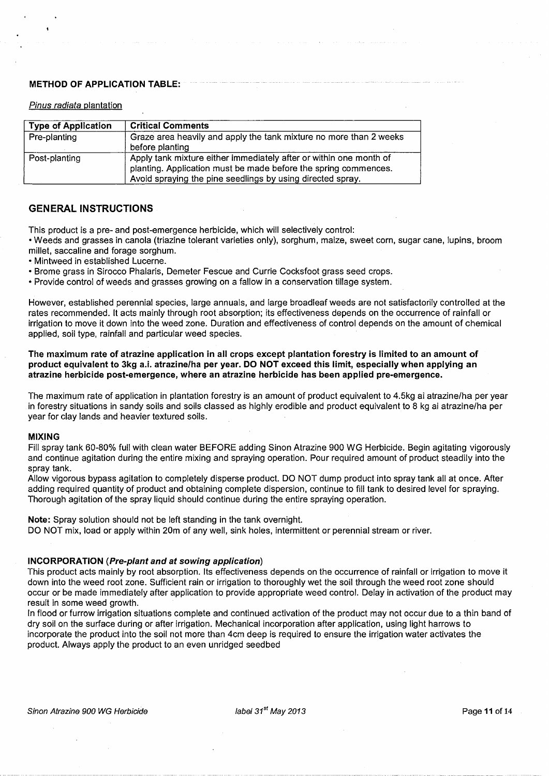## **METHOD OF APPLICATION TABLE:**

### Pinus radiata plantation

| <b>Type of Application</b> | <b>Critical Comments</b>                                                                                                                                                                            |
|----------------------------|-----------------------------------------------------------------------------------------------------------------------------------------------------------------------------------------------------|
| Pre-planting               | Graze area heavily and apply the tank mixture no more than 2 weeks<br>before planting                                                                                                               |
| Post-planting              | Apply tank mixture either immediately after or within one month of<br>planting. Application must be made before the spring commences.<br>Avoid spraying the pine seedlings by using directed spray. |

# **GENERAL INSTRUCTIONS**

This product is a pre- and post-emergence herbicide, which will selectively control:

• Weeds and grasses in canola (triazine tolerant varieties only), sorghum, maize, sweet corn, sugar cane, lupins, broom millet, saccaline and forage sorghum.

• Mintweed in established Lucerne.

• Brame grass in Sirocco Phalaris, Demeter Fescue and Currie Cocksfoot grass seed crops.

• Provide control of weeds and grasses growing on a fallow in a conservation tillage system.

However, established perennial species, large annuals, and large broadleaf weeds are not satisfactorily controlled at the rates recommended. It acts mainly through root absorption; its effectiveness depends on the occurrence of rainfall or irrigation to move it down into the weed zone. Duration and effectiveness of control depends on the amount of chemical applied, soil type, rainfall and particular weed species.

**The maximum rate of atrazine application in all crops except plantation forestry is limited to an amount of product equivalent to 3kg a.i. atrazine/ha per year. DO NOT exceed this limit, especially when applying an atrazine herbicide post-emergence, where an atrazine herbicide has been applied pre-emergence.** 

The maximum rate of application in plantation forestry is an amount of product equivalent to 4.5kg ai atrazine/ha per year in forestry situations in sandy soils and soils classed as highly erodible and product equivalent to 8 kg ai atrazine/ha per year for clay lands and heavier textured soils.

# **MIXING**

Fill spray tank 60-80% full with clean water BEFORE adding Sinon Atrazine 900 WG Herbicide. Begin agitating vigorously and continue agitation during the entire mixing and spraying operation. Pour required amount of product steadily into the spray tank.

Allow vigorous bypass agitation to completely disperse product. DO NOT dump product into spray tank all at once. After adding required quantity of product and obtaining complete dispersion, continue to fill tank to desired level for spraying. Thorough agitation of the spray liquid should continue during the entire spraying operation.

**Note:** Spray solution should not be left standing in the tank overnight.

DO NOT mix, load or apply within 20m of any well, sink holes, intermittent or perennial stream or river.

# **INCORPORATION (Pre-plant and at sowing application)**

This product acts mainly by root absorption. Its effectiveness depends on the occurrence of rainfall or irrigation to move it down into the weed root zone. Sufficient rain or irrigation to thoroughly wet the soil through the weed root zone should occur or be made immediately after application to provide appropriate weed control. Delay in activation of the product may result in some weed growth.

In flood or furrow irrigation situations complete and continued activation of the product may not occur due to a thin band of dry soil on the surface during or after irrigation. Mechanical incorporation after application, using light harrows to incorporate the product into the soil not more than 4cm deep is required to ensure the irrigation water activates the product. Always apply the product to an even unridged seedbed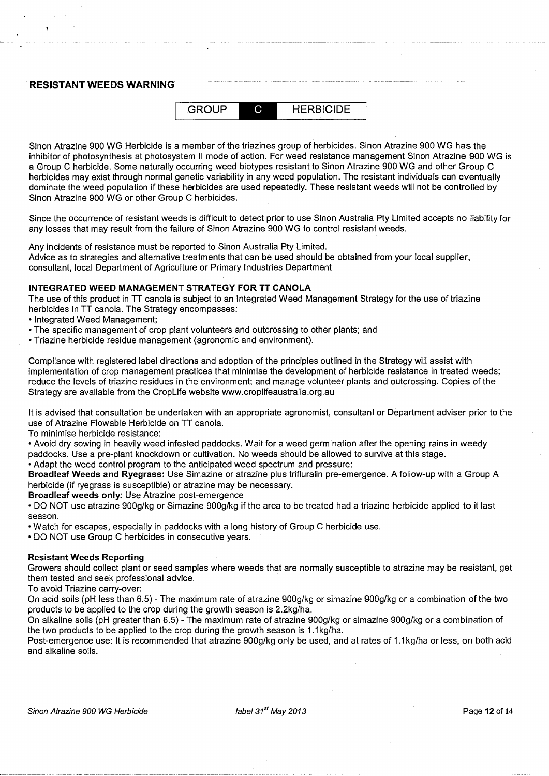# **RESISTANT WEEDS WARNING**



Sinon Atrazine 900 WG Herbicide is a member of the triazines group of herbicides. Sinon Atrazine 900 WG has the inhibitor of photosynthesis at photosystem II mode of action. For weed resistance management Sinon Atrazine 900 WG is a Group C herbicide. Some naturally occurring weed biotypes resistant to Sinon Atrazine 900 WG and other Group C herbicides may exist through normal genetic variability in any weed population. The resistant individuals can eventually dominate the weed population if these herbicides are used repeatedly. These resistant weeds will not be controlled by Sinon Atrazine 900 WG or other Group C herbicides.

Since the occurrence of resistant weeds is difficult to detect prior to use Sinon Australia Pty Limited accepts no liability for any losses that may result from the failure of Sinon Atrazine 900 WG to control resistant weeds.

Any incidents of resistance must be reported to Sinon Australia Pty Limited. Advice as to strategies and alternative treatments that can be used should be obtained from your local supplier, consultant, local Department of Agriculture or Primary Industries Department

# **INTEGRATED WEED MANAGEMENT STRATEGY FOR TT CANOLA**

The use of this product in TT canola is subject to an Integrated Weed Management Strategy for the use of triazine herbicides in TT canola. The Strategy encompasses:

• Integrated Weed Management;

- The specific management of crop plant volunteers and outcrossing to other plants; and
- Triazine herbicide residue management (agronomic and environment).

Compliance with registered label directions and adoption of the principles outlined in the Strategy will assist with implementation of crop management practices that minimise the development of herbicide resistance in treated weeds; reduce the levels of triazine residues in the environment; and manage volunteer plants and outcrossing. Copies of the Strategy are available from the Croplife website www.croplifeaustralia.org.au

It is advised that consultation be undertaken with an appropriate agronomist, consultant or Department adviser prior to the use of Atrazine Flowable Herbicide on TT canola.

To minimise herbicide resistance:

• Avoid dry sowing in heavily weed infested paddocks. Wait for a weed germination after the opening rains in weedy paddocks. Use a pre-plant knockdown or cultivation. No weeds should be allowed to survive at this stage.

• Adapt the weed control program to the anticipated weed spectrum and pressure:

**Broad leaf Weeds and Ryegrass:** Use Simazine or atrazine plus trifluralin pre-emergence. A follow-up with a Group A herbicide (if ryegrass is susceptible) or atrazine may be necessary.

**Broadleaf weeds only: Use Atrazine post-emergence** 

• DO NOT use atrazine 900g/kg or Simazine 900g/kg if the area to be treated had a triazine herbicide applied to it last season.

• Watch for escapes, especially in paddocks with a long history of Group C herbicide use.

• DO NOT use Group C herbicides in consecutive years.

# **Resistant Weeds Reporting**

Growers should collect plant or seed samples where weeds that are normally susceptible to atrazine may be resistant, get them tested and seek professional advice.

To avoid Triazine carry-over:

On acid soils (pH less than 6.5) -The maximum rate of atrazine 900g/kg or simazine 900g/kg or a combination of the two products to be applied to the crop during the growth season is 2.2kg/ha.

On alkaline soils (pH greater than 6.5) -The maximum rate of atrazine 900g/kg or simazine 900g/kg or a combination of the two products to be applied to the crop during the growth season is 1.1 kg/ha.

Post-emergence use: It is recommended that atrazine 900g/kg only be used, and at rates of 1.1 kg/ha or less, on both acid and alkaline soils.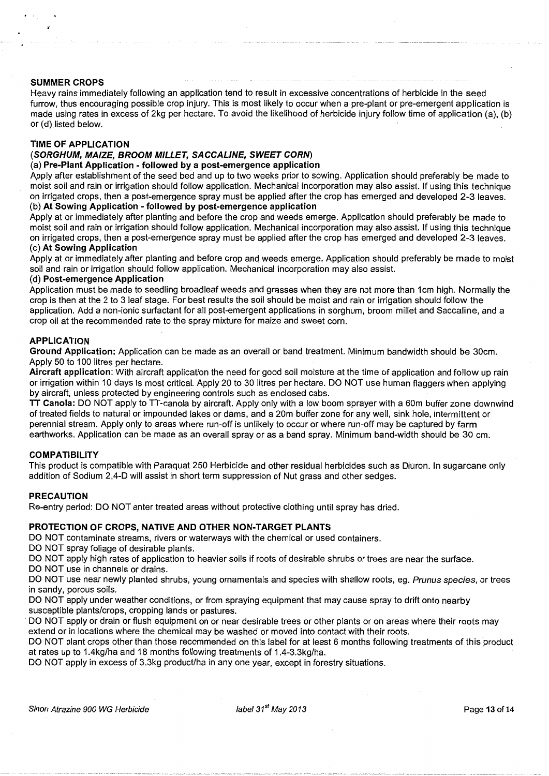## **SUMMER CROPS**

Heavy rains immediately following an application tend to result in excessive concentrations of herbicide in the seed furrow, thus encouraging possible crop injury. This is most likely to occur when a pre-plant or pre-emergent application is made using rates in excess of 2kg per hectare. To avoid the likelihood of herbicide injury follow time of application (a), (b) or (d) listed below.

# **TIME OF APPLICATION**

# **(SORGHUM, MAIZE, BROOM MILLET, SACCALINE, SWEET CORN)**

### (a) **Pre-Plant Application -followed by a post-emergence application**

Apply after establishment of the seed bed and up to two weeks prior to sowing. Application should preferably be made to moist soil and rain or irrigation should follow application. Mechanical incorporation may also assist. If using this technique on irrigated crops, then a post-emergence spray must be applied after the crop has emerged and developed 2-3 leaves. (b) **At Sowing Application- followed by post-emergence application** 

Apply at or immediately after planting and before the crop and weeds emerge. Application should preferably be made to moist soil and rain or irrigation should follow application. Mechanical incorporation may also assist. If using this technique on irrigated crops, then a post-emergence spray must be applied after the crop has emerged and developed 2-3 leaves. (c) **At Sowing Application** 

Apply at or immediately after planting and before crop and weeds emerge. Application should preferably be made to moist soil and rain or irrigation should follow application. Mechanical incorporation may also assist.

#### (d) **Post-emergence Application**

Application must be made to seedling broadleaf weeds and grasses when they are not more than 1cm high. Normally the crop is then at the 2 to 3 leaf stage. For best results the soil should be moist arid rain or irrigation should follow the application. Add a non-ionic surfactant for all post-emergent applications in sorghum, broom millet and Saccaline, and a crop oil at the recommended rate to the spray mixture for maize and sweet corn.

#### **APPLICATION**

**Ground Application:** Application can be made as an overall or band treatment. Minimum bandwidth should be 30cm. Apply 50 to 100 litres per hectare.

**Aircraft application:** With aircraft application the need for good soil moisture at the time of application and follow up rain or irrigation within 10 days is most critical. Apply 20 to 30 litres per hectare. DO NOT use human flaggers when applying by aircraft, unless protected by engineering controls such as enclosed cabs.

**TT Canola:** DO NOT apply to TT-canola by aircraft. Apply only with a low boom sprayer with a 60m buffer zone downwind of treated fields to natural or impounded lakes or dams, and a 20m buffer zone for any well, sink hole, intermittent or perennial stream. Apply only to areas where run-off is unlikely to occur or where run-off may be captured by farm earthworks. Application can be made as an overall spray or as a band spray. Minimum band-width should be 30 em.

#### **COMPATIBILITY**

This product is compatible with Paraquat 250 Herbicide and other residual herbicides such as Diuron. In sugarcane only addition of Sodium 2,4-D will assist in short term suppression of Nut grass and other sedges.

#### **PRECAUTION**

Re-entry period: DO NOT enter treated areas without protective clothing until spray has dried.

#### **PROTECTION OF CROPS, NATIVE AND OTHER NON-TARGET PLANTS**

DO NOT contaminate streams, rivers or waterways with the chemical or used containers.

DO NOT spray foliage of desirable plants.

DO NOT apply high rates of application to heavier soils if roots of desirable shrubs or trees are near the surface.

DO NOT use in channels or drains.

DO NOT use near newly planted shrubs, young ornamentals and species with shallow roots, eg. Prunus species, or trees in sandy, porous soils.

DO NOT apply under weather conditions, or from spraying equipment that may cause spray to drift onto nearby susceptible plants/crops, cropping lands or pastures.

DO NOT apply or drain or flush equipment on or near desirable trees or other plants or on areas where their roots may extend or in locations where the chemical may be washed or moved into contact with their roots.

DO NOT plant crops other than those recommended on this label for at least 6 months following treatments of this product at rates up to 1.4kg/ha and 18 months following treatments of 1.4-3.3kg/ha.

DO NOT apply in excess of 3.3kg product/ha in any one year, except in forestry situations.